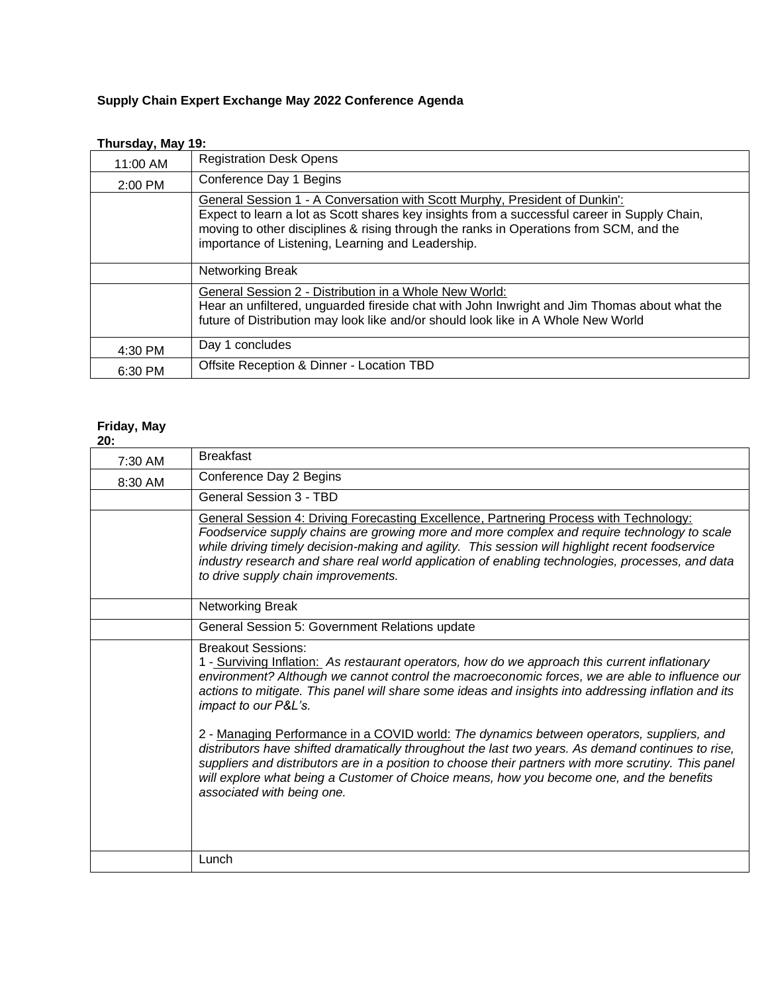## **Supply Chain Expert Exchange May 2022 Conference Agenda**

| .<br>11:00 AM | <b>Registration Desk Opens</b>                                                                                                                                                                                                                                                                                             |
|---------------|----------------------------------------------------------------------------------------------------------------------------------------------------------------------------------------------------------------------------------------------------------------------------------------------------------------------------|
| $2:00$ PM     | Conference Day 1 Begins                                                                                                                                                                                                                                                                                                    |
|               | General Session 1 - A Conversation with Scott Murphy, President of Dunkin':<br>Expect to learn a lot as Scott shares key insights from a successful career in Supply Chain,<br>moving to other disciplines & rising through the ranks in Operations from SCM, and the<br>importance of Listening, Learning and Leadership. |
|               | Networking Break                                                                                                                                                                                                                                                                                                           |
|               | General Session 2 - Distribution in a Whole New World:<br>Hear an unfiltered, unguarded fireside chat with John Inwright and Jim Thomas about what the<br>future of Distribution may look like and/or should look like in A Whole New World                                                                                |
| 4:30 PM       | Day 1 concludes                                                                                                                                                                                                                                                                                                            |
| 6:30 PM       | Offsite Reception & Dinner - Location TBD                                                                                                                                                                                                                                                                                  |

## **Thursday, May 19:**

## **Friday, May**

| v<br>۰. |  |
|---------|--|

| 7:30 AM | <b>Breakfast</b>                                                                                                                                                                                                                                                                                                                                                                                                                     |
|---------|--------------------------------------------------------------------------------------------------------------------------------------------------------------------------------------------------------------------------------------------------------------------------------------------------------------------------------------------------------------------------------------------------------------------------------------|
| 8:30 AM | Conference Day 2 Begins                                                                                                                                                                                                                                                                                                                                                                                                              |
|         | <b>General Session 3 - TBD</b>                                                                                                                                                                                                                                                                                                                                                                                                       |
|         | General Session 4: Driving Forecasting Excellence, Partnering Process with Technology:<br>Foodservice supply chains are growing more and more complex and require technology to scale<br>while driving timely decision-making and agility. This session will highlight recent foodservice<br>industry research and share real world application of enabling technologies, processes, and data<br>to drive supply chain improvements. |
|         | Networking Break                                                                                                                                                                                                                                                                                                                                                                                                                     |
|         | General Session 5: Government Relations update                                                                                                                                                                                                                                                                                                                                                                                       |
|         | <b>Breakout Sessions:</b><br>1 - Surviving Inflation: As restaurant operators, how do we approach this current inflationary<br>environment? Although we cannot control the macroeconomic forces, we are able to influence our<br>actions to mitigate. This panel will share some ideas and insights into addressing inflation and its<br>impact to our P&L's.                                                                        |
|         | 2 - Managing Performance in a COVID world: The dynamics between operators, suppliers, and<br>distributors have shifted dramatically throughout the last two years. As demand continues to rise,<br>suppliers and distributors are in a position to choose their partners with more scrutiny. This panel<br>will explore what being a Customer of Choice means, how you become one, and the benefits<br>associated with being one.    |
|         | Lunch                                                                                                                                                                                                                                                                                                                                                                                                                                |